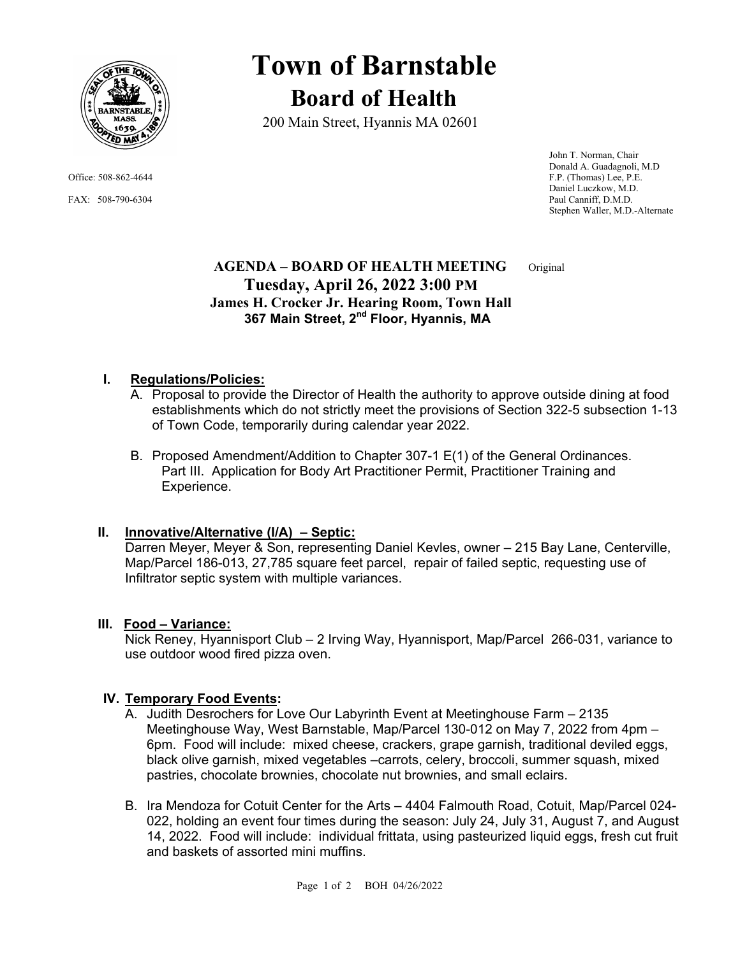

# **Town of Barnstable Board of Health**

200 Main Street, Hyannis MA 02601

 John T. Norman, Chair Donald A. Guadagnoli, M.D Office: 508-862-4644 F.P. (Thomas) Lee, P.E. Daniel Luczkow, M.D. FAX: 508-790-6304 Paul Canniff, D.M.D. Stephen Waller, M.D.-Alternate

## **AGENDA – BOARD OF HEALTH MEETING** Original  **Tuesday, April 26, 2022 3:00 PM James H. Crocker Jr. Hearing Room, Town Hall** 367 Main Street, 2<sup>nd</sup> Floor, Hyannis, MA

### **I. Regulations/Policies:**

- A. Proposal to provide the Director of Health the authority to approve outside dining at food establishments which do not strictly meet the provisions of Section 322-5 subsection 1-13 of Town Code, temporarily during calendar year 2022.
- B. Proposed Amendment/Addition to Chapter 307-1 E(1) of the General Ordinances. Part III. Application for Body Art Practitioner Permit, Practitioner Training and Experience.

## **II. Innovative/Alternative (I/A) – Septic:**

Darren Meyer, Meyer & Son, representing Daniel Kevles, owner – 215 Bay Lane, Centerville, Map/Parcel 186-013, 27,785 square feet parcel, repair of failed septic, requesting use of Infiltrator septic system with multiple variances.

#### **III. Food – Variance:**

Nick Reney, Hyannisport Club – 2 Irving Way, Hyannisport, Map/Parcel 266-031, variance to use outdoor wood fired pizza oven.

#### **IV. Temporary Food Events:**

- A. Judith Desrochers for Love Our Labyrinth Event at Meetinghouse Farm 2135 Meetinghouse Way, West Barnstable, Map/Parcel 130-012 on May 7, 2022 from 4pm – 6pm. Food will include: mixed cheese, crackers, grape garnish, traditional deviled eggs, black olive garnish, mixed vegetables –carrots, celery, broccoli, summer squash, mixed pastries, chocolate brownies, chocolate nut brownies, and small eclairs.
- B. Ira Mendoza for Cotuit Center for the Arts 4404 Falmouth Road, Cotuit, Map/Parcel 024- 022, holding an event four times during the season: July 24, July 31, August 7, and August 14, 2022. Food will include: individual frittata, using pasteurized liquid eggs, fresh cut fruit and baskets of assorted mini muffins.